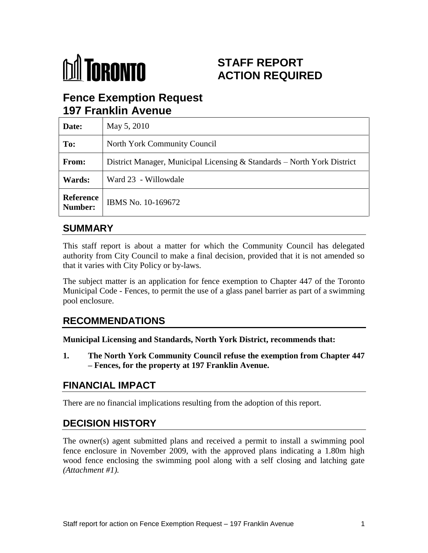

# **STAFF REPORT ACTION REQUIRED**

# **Fence Exemption Request 197 Franklin Avenue**

| Date:                | May 5, 2010                                                             |
|----------------------|-------------------------------------------------------------------------|
| To:                  | North York Community Council                                            |
| From:                | District Manager, Municipal Licensing & Standards – North York District |
| Wards:               | Ward 23 - Willowdale                                                    |
| Reference<br>Number: | IBMS No. 10-169672                                                      |

## **SUMMARY**

This staff report is about a matter for which the Community Council has delegated authority from City Council to make a final decision, provided that it is not amended so that it varies with City Policy or by-laws.

The subject matter is an application for fence exemption to Chapter 447 of the Toronto Municipal Code - Fences, to permit the use of a glass panel barrier as part of a swimming pool enclosure.

### **RECOMMENDATIONS**

**Municipal Licensing and Standards, North York District, recommends that:**

**1. The North York Community Council refuse the exemption from Chapter 447 – Fences, for the property at 197 Franklin Avenue.**

# **FINANCIAL IMPACT**

There are no financial implications resulting from the adoption of this report.

# **DECISION HISTORY**

The owner(s) agent submitted plans and received a permit to install a swimming pool fence enclosure in November 2009, with the approved plans indicating a 1.80m high wood fence enclosing the swimming pool along with a self closing and latching gate *(Attachment #1).*